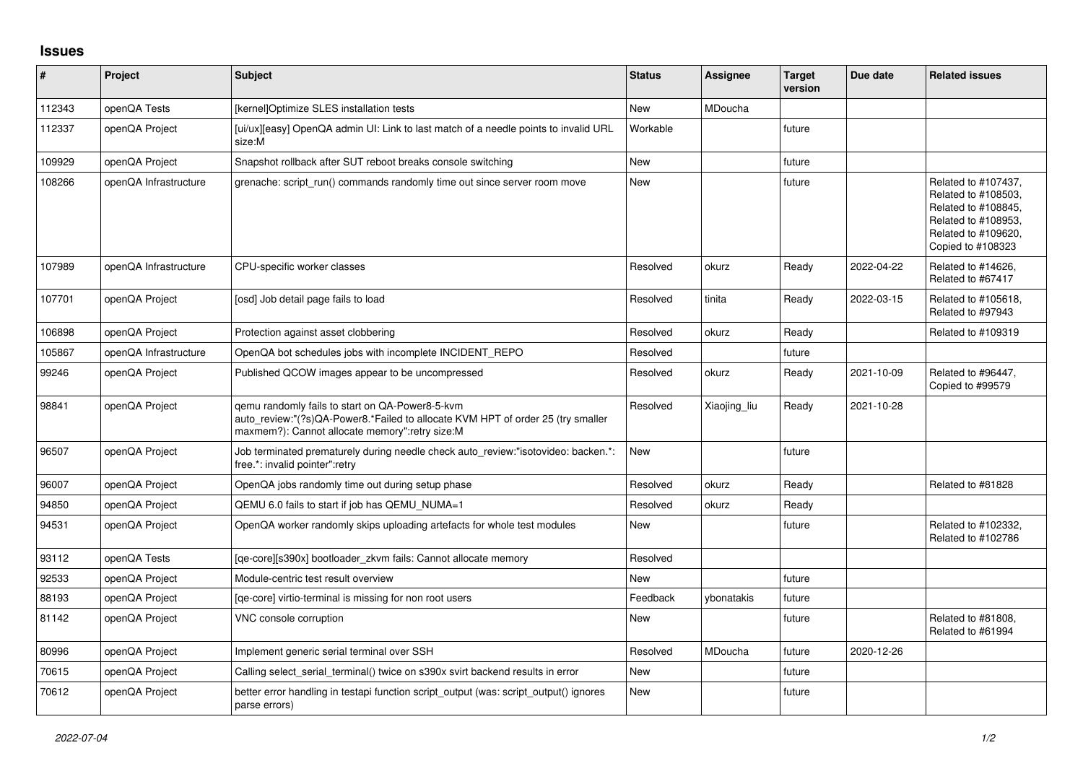## **Issues**

| #      | Project               | Subject                                                                                                                                                                              | <b>Status</b> | <b>Assignee</b> | <b>Target</b><br>version | Due date   | <b>Related issues</b>                                                                                                                |
|--------|-----------------------|--------------------------------------------------------------------------------------------------------------------------------------------------------------------------------------|---------------|-----------------|--------------------------|------------|--------------------------------------------------------------------------------------------------------------------------------------|
| 112343 | openQA Tests          | [kernel]Optimize SLES installation tests                                                                                                                                             | <b>New</b>    | MDoucha         |                          |            |                                                                                                                                      |
| 112337 | openQA Project        | [ui/ux][easy] OpenQA admin UI: Link to last match of a needle points to invalid URL<br>size:M                                                                                        | Workable      |                 | future                   |            |                                                                                                                                      |
| 109929 | openQA Project        | Snapshot rollback after SUT reboot breaks console switching                                                                                                                          | <b>New</b>    |                 | future                   |            |                                                                                                                                      |
| 108266 | openQA Infrastructure | grenache: script run() commands randomly time out since server room move                                                                                                             | <b>New</b>    |                 | future                   |            | Related to #107437.<br>Related to #108503,<br>Related to #108845,<br>Related to #108953,<br>Related to #109620,<br>Copied to #108323 |
| 107989 | openQA Infrastructure | CPU-specific worker classes                                                                                                                                                          | Resolved      | okurz           | Ready                    | 2022-04-22 | Related to #14626,<br>Related to #67417                                                                                              |
| 107701 | openQA Project        | [osd] Job detail page fails to load                                                                                                                                                  | Resolved      | tinita          | Ready                    | 2022-03-15 | Related to #105618,<br>Related to #97943                                                                                             |
| 106898 | openQA Project        | Protection against asset clobbering                                                                                                                                                  | Resolved      | okurz           | Ready                    |            | Related to #109319                                                                                                                   |
| 105867 | openQA Infrastructure | OpenQA bot schedules jobs with incomplete INCIDENT REPO                                                                                                                              | Resolved      |                 | future                   |            |                                                                                                                                      |
| 99246  | openQA Project        | Published QCOW images appear to be uncompressed                                                                                                                                      | Resolved      | okurz           | Ready                    | 2021-10-09 | Related to #96447,<br>Copied to #99579                                                                                               |
| 98841  | openQA Project        | gemu randomly fails to start on QA-Power8-5-kvm<br>auto_review:"(?s)QA-Power8.*Failed to allocate KVM HPT of order 25 (try smaller<br>maxmem?): Cannot allocate memory":retry size:M | Resolved      | Xiaojing_liu    | Ready                    | 2021-10-28 |                                                                                                                                      |
| 96507  | openQA Project        | Job terminated prematurely during needle check auto review:"isotovideo: backen.*:<br>free.*: invalid pointer":retry                                                                  | <b>New</b>    |                 | future                   |            |                                                                                                                                      |
| 96007  | openQA Project        | OpenQA jobs randomly time out during setup phase                                                                                                                                     | Resolved      | okurz           | Ready                    |            | Related to #81828                                                                                                                    |
| 94850  | openQA Project        | QEMU 6.0 fails to start if job has QEMU NUMA=1                                                                                                                                       | Resolved      | okurz           | Ready                    |            |                                                                                                                                      |
| 94531  | openQA Project        | OpenQA worker randomly skips uploading artefacts for whole test modules                                                                                                              | New           |                 | future                   |            | Related to #102332,<br>Related to #102786                                                                                            |
| 93112  | openQA Tests          | [ge-core][s390x] bootloader zkvm fails: Cannot allocate memory                                                                                                                       | Resolved      |                 |                          |            |                                                                                                                                      |
| 92533  | openQA Project        | Module-centric test result overview                                                                                                                                                  | New           |                 | future                   |            |                                                                                                                                      |
| 88193  | openQA Project        | [ge-core] virtio-terminal is missing for non root users                                                                                                                              | Feedback      | ybonatakis      | future                   |            |                                                                                                                                      |
| 81142  | openQA Project        | VNC console corruption                                                                                                                                                               | <b>New</b>    |                 | future                   |            | Related to #81808,<br>Related to #61994                                                                                              |
| 80996  | openQA Project        | Implement generic serial terminal over SSH                                                                                                                                           | Resolved      | MDoucha         | future                   | 2020-12-26 |                                                                                                                                      |
| 70615  | openQA Project        | Calling select serial terminal() twice on s390x svirt backend results in error                                                                                                       | New           |                 | future                   |            |                                                                                                                                      |
| 70612  | openQA Project        | better error handling in testapi function script output (was: script output() ignores<br>parse errors)                                                                               | <b>New</b>    |                 | future                   |            |                                                                                                                                      |